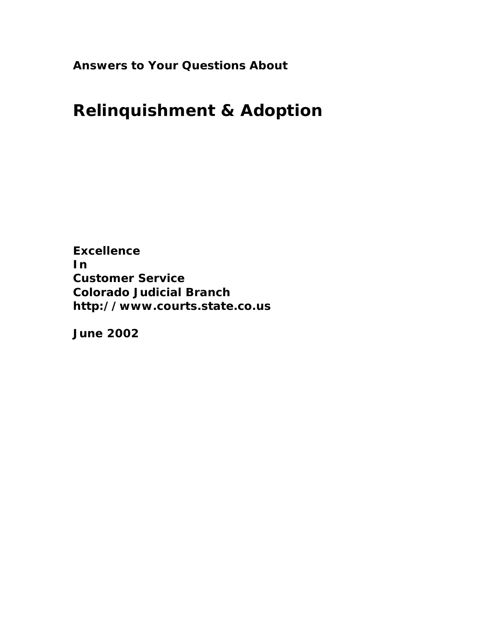**Answers to Your Questions About**

# **Relinquishment & Adoption**

**Excellence In Customer Service Colorado Judicial Branch <http://www.courts.state.co.us>**

**June 2002**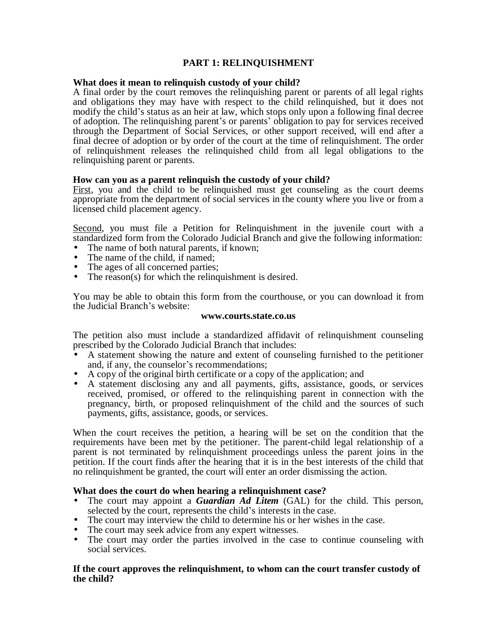## **PART 1: RELINQUISHMENT**

#### **What does it mean to relinquish custody of your child?**

A final order by the court removes the relinquishing parent or parents of all legal rights and obligations they may have with respect to the child relinquished, but it does not modify the child's status as an heir at law, which stops only upon a following final decree of adoption. The relinquishing parent's or parents' obligation to pay for services received through the Department of Social Services, or other support received, will end after a final decree of adoption or by order of the court at the time of relinquishment. The order of relinquishment releases the relinquished child from all legal obligations to the relinquishing parent or parents.

#### **How can you as a parent relinquish the custody of your child?**

First, you and the child to be relinquished must get counseling as the court deems appropriate from the department of social services in the county where you live or from a licensed child placement agency.

Second, you must file a Petition for Relinquishment in the juvenile court with a standardized form from the Colorado Judicial Branch and give the following information:

- The name of both natural parents, if known;
- The name of the child, if named;
- The ages of all concerned parties;
- The reason(s) for which the relinquishment is desired.

You may be able to obtain this form from the courthouse, or you can download it from the Judicial Branch's website:

#### **[www.courts.state.co.us](http://www.courts.state.co.us)**

The petition also must include a standardized affidavit of relinquishment counseling prescribed by the Colorado Judicial Branch that includes:

- A statement showing the nature and extent of counseling furnished to the petitioner and, if any, the counselor's recommendations;
- A copy of the original birth certificate or a copy of the application; and
- A statement disclosing any and all payments, gifts, assistance, goods, or services received, promised, or offered to the relinquishing parent in connection with the pregnancy, birth, or proposed relinquishment of the child and the sources of such payments, gifts, assistance, goods, or services.

When the court receives the petition, a hearing will be set on the condition that the requirements have been met by the petitioner. The parent-child legal relationship of a parent is not terminated by relinquishment proceedings unless the parent joins in the petition. If the court finds after the hearing that it is in the best interests of the child that no relinquishment be granted, the court will enter an order dismissing the action.

#### **What does the court do when hearing a relinquishment case?**

- The court may appoint a *Guardian Ad Litem* (GAL) for the child. This person, selected by the court, represents the child's interests in the case.
- The court may interview the child to determine his or her wishes in the case.<br>• The court may seek advice from any expert witnesses.
- The court may seek advice from any expert witnesses.
- The court may order the parties involved in the case to continue counseling with social services.

#### **If the court approves the relinquishment, to whom can the court transfer custody of the child?**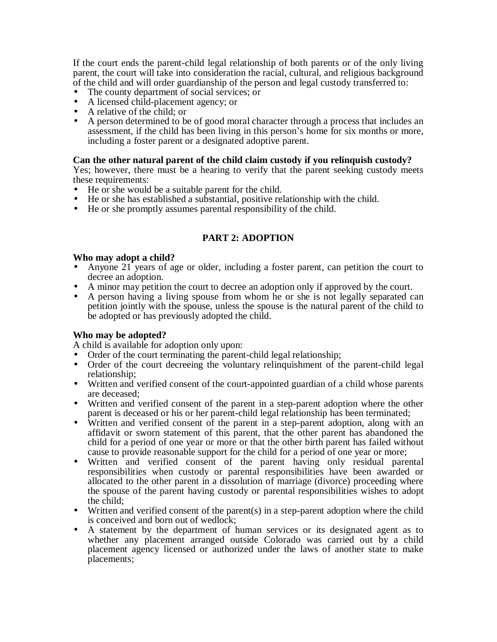If the court ends the parent-child legal relationship of both parents or of the only living parent, the court will take into consideration the racial, cultural, and religious background of the child and will order guardianship of the person and legal custody transferred to:

- The county department of social services; or
- A licensed child-placement agency; or
- A relative of the child; or
- A person determined to be of good moral character through a process that includes an assessment, if the child has been living in this person's home for six months or more, including a foster parent or a designated adoptive parent.

#### **Can the other natural parent of the child claim custody if you relinquish custody?**

Yes; however, there must be a hearing to verify that the parent seeking custody meets these requirements:

- He or she would be a suitable parent for the child.
- He or she has established a substantial, positive relationship with the child.
- He or she promptly assumes parental responsibility of the child.

## **PART 2: ADOPTION**

#### **Who may adopt a child?**

- Anyone 21 years of age or older, including a foster parent, can petition the court to decree an adoption.
- A minor may petition the court to decree an adoption only if approved by the court.
- A person having a living spouse from whom he or she is not legally separated can petition jointly with the spouse, unless the spouse is the natural parent of the child to be adopted or has previously adopted the child.

#### **Who may be adopted?**

A child is available for adoption only upon:

- Order of the court terminating the parent-child legal relationship;
- Order of the court decreeing the voluntary relinquishment of the parent-child legal relationship;
- Written and verified consent of the court-appointed guardian of a child whose parents are deceased;
- Written and verified consent of the parent in a step-parent adoption where the other parent is deceased or his or her parent-child legal relationship has been terminated;
- Written and verified consent of the parent in a step-parent adoption, along with an affidavit or sworn statement of this parent, that the other parent has abandoned the child for a period of one year or more or that the other birth parent has failed without cause to provide reasonable support for the child for a period of one year or more;
- Written and verified consent of the parent having only residual parental responsibilities when custody or parental responsibilities have been awarded or allocated to the other parent in a dissolution of marriage (divorce) proceeding where the spouse of the parent having custody or parental responsibilities wishes to adopt the child;
- Written and verified consent of the parent(s) in a step-parent adoption where the child is conceived and born out of wedlock;
- A statement by the department of human services or its designated agent as to whether any placement arranged outside Colorado was carried out by a child placement agency licensed or authorized under the laws of another state to make placements;